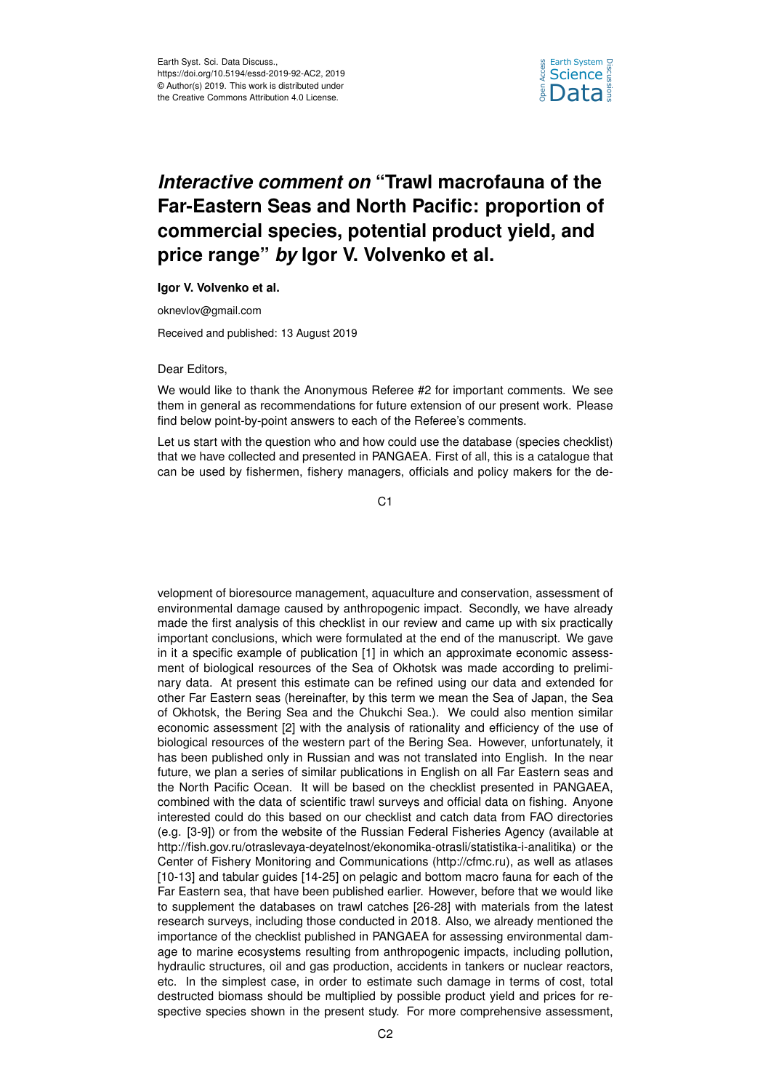

## *Interactive comment on* **"Trawl macrofauna of the Far-Eastern Seas and North Pacific: proportion of commercial species, potential product yield, and price range"** *by* **Igor V. Volvenko et al.**

## **Igor V. Volvenko et al.**

oknevlov@gmail.com

Received and published: 13 August 2019

Dear Editors,

We would like to thank the Anonymous Referee #2 for important comments. We see them in general as recommendations for future extension of our present work. Please find below point-by-point answers to each of the Referee's comments.

Let us start with the question who and how could use the database (species checklist) that we have collected and presented in PANGAEA. First of all, this is a catalogue that can be used by fishermen, fishery managers, officials and policy makers for the de-

C1

velopment of bioresource management, aquaculture and conservation, assessment of environmental damage caused by anthropogenic impact. Secondly, we have already made the first analysis of this checklist in our review and came up with six practically important conclusions, which were formulated at the end of the manuscript. We gave in it a specific example of publication [1] in which an approximate economic assessment of biological resources of the Sea of Okhotsk was made according to preliminary data. At present this estimate can be refined using our data and extended for other Far Eastern seas (hereinafter, by this term we mean the Sea of Japan, the Sea of Okhotsk, the Bering Sea and the Chukchi Sea.). We could also mention similar economic assessment [2] with the analysis of rationality and efficiency of the use of biological resources of the western part of the Bering Sea. However, unfortunately, it has been published only in Russian and was not translated into English. In the near future, we plan a series of similar publications in English on all Far Eastern seas and the North Pacific Ocean. It will be based on the checklist presented in PANGAEA, combined with the data of scientific trawl surveys and official data on fishing. Anyone interested could do this based on our checklist and catch data from FAO directories (e.g. [3-9]) or from the website of the Russian Federal Fisheries Agency (available at http://fish.gov.ru/otraslevaya-deyatelnost/ekonomika-otrasli/statistika-i-analitika) or the Center of Fishery Monitoring and Communications (http://cfmc.ru), as well as atlases [10-13] and tabular guides [14-25] on pelagic and bottom macro fauna for each of the Far Eastern sea, that have been published earlier. However, before that we would like to supplement the databases on trawl catches [26-28] with materials from the latest research surveys, including those conducted in 2018. Also, we already mentioned the importance of the checklist published in PANGAEA for assessing environmental damage to marine ecosystems resulting from anthropogenic impacts, including pollution, hydraulic structures, oil and gas production, accidents in tankers or nuclear reactors, etc. In the simplest case, in order to estimate such damage in terms of cost, total destructed biomass should be multiplied by possible product yield and prices for respective species shown in the present study. For more comprehensive assessment,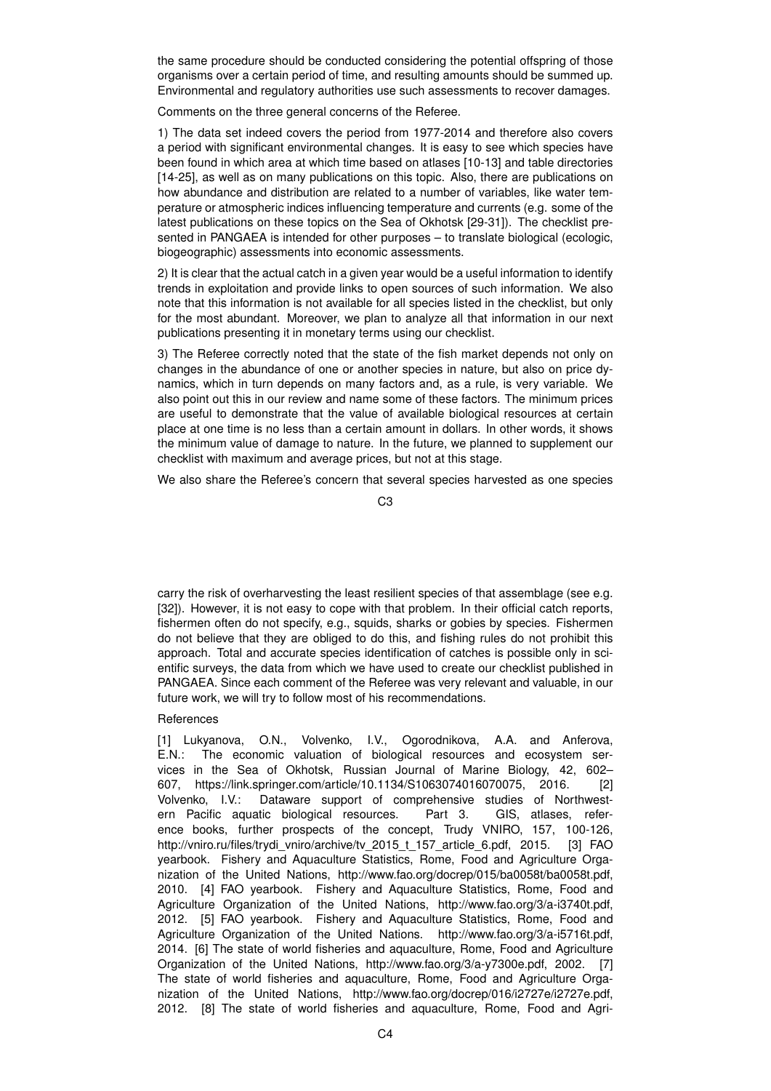the same procedure should be conducted considering the potential offspring of those organisms over a certain period of time, and resulting amounts should be summed up. Environmental and regulatory authorities use such assessments to recover damages.

Comments on the three general concerns of the Referee.

1) The data set indeed covers the period from 1977-2014 and therefore also covers a period with significant environmental changes. It is easy to see which species have been found in which area at which time based on atlases [10-13] and table directories [14-25], as well as on many publications on this topic. Also, there are publications on how abundance and distribution are related to a number of variables, like water temperature or atmospheric indices influencing temperature and currents (e.g. some of the latest publications on these topics on the Sea of Okhotsk [29-31]). The checklist presented in PANGAEA is intended for other purposes – to translate biological (ecologic, biogeographic) assessments into economic assessments.

2) It is clear that the actual catch in a given year would be a useful information to identify trends in exploitation and provide links to open sources of such information. We also note that this information is not available for all species listed in the checklist, but only for the most abundant. Moreover, we plan to analyze all that information in our next publications presenting it in monetary terms using our checklist.

3) The Referee correctly noted that the state of the fish market depends not only on changes in the abundance of one or another species in nature, but also on price dynamics, which in turn depends on many factors and, as a rule, is very variable. We also point out this in our review and name some of these factors. The minimum prices are useful to demonstrate that the value of available biological resources at certain place at one time is no less than a certain amount in dollars. In other words, it shows the minimum value of damage to nature. In the future, we planned to supplement our checklist with maximum and average prices, but not at this stage.

We also share the Referee's concern that several species harvested as one species

 $C<sub>3</sub>$ 

carry the risk of overharvesting the least resilient species of that assemblage (see e.g. [32]). However, it is not easy to cope with that problem. In their official catch reports, fishermen often do not specify, e.g., squids, sharks or gobies by species. Fishermen do not believe that they are obliged to do this, and fishing rules do not prohibit this approach. Total and accurate species identification of catches is possible only in scientific surveys, the data from which we have used to create our checklist published in PANGAEA. Since each comment of the Referee was very relevant and valuable, in our future work, we will try to follow most of his recommendations.

## **References**

[1] Lukyanova, O.N., Volvenko, I.V., Ogorodnikova, A.A. and Anferova, E.N.: The economic valuation of biological resources and ecosystem services in the Sea of Okhotsk, Russian Journal of Marine Biology, 42, 602– 607, https://link.springer.com/article/10.1134/S1063074016070075, 2016. [2] Volvenko, I.V.: Dataware support of comprehensive studies of Northwestern Pacific aquatic biological resources. Part 3. GIS, atlases, reference books, further prospects of the concept, Trudy VNIRO, 157, 100-126, http://vniro.ru/files/trydi\_vniro/archive/tv\_2015\_t\_157\_article\_6.pdf, 2015. [3] FAO yearbook. Fishery and Aquaculture Statistics, Rome, Food and Agriculture Organization of the United Nations, http://www.fao.org/docrep/015/ba0058t/ba0058t.pdf, 2010. [4] FAO yearbook. Fishery and Aquaculture Statistics, Rome, Food and Agriculture Organization of the United Nations, http://www.fao.org/3/a-i3740t.pdf, 2012. [5] FAO yearbook. Fishery and Aquaculture Statistics, Rome, Food and Agriculture Organization of the United Nations. http://www.fao.org/3/a-i5716t.pdf, 2014. [6] The state of world fisheries and aquaculture, Rome, Food and Agriculture Organization of the United Nations, http://www.fao.org/3/a-y7300e.pdf, 2002. [7] The state of world fisheries and aquaculture, Rome, Food and Agriculture Organization of the United Nations, http://www.fao.org/docrep/016/i2727e/i2727e.pdf, 2012. [8] The state of world fisheries and aquaculture, Rome, Food and Agri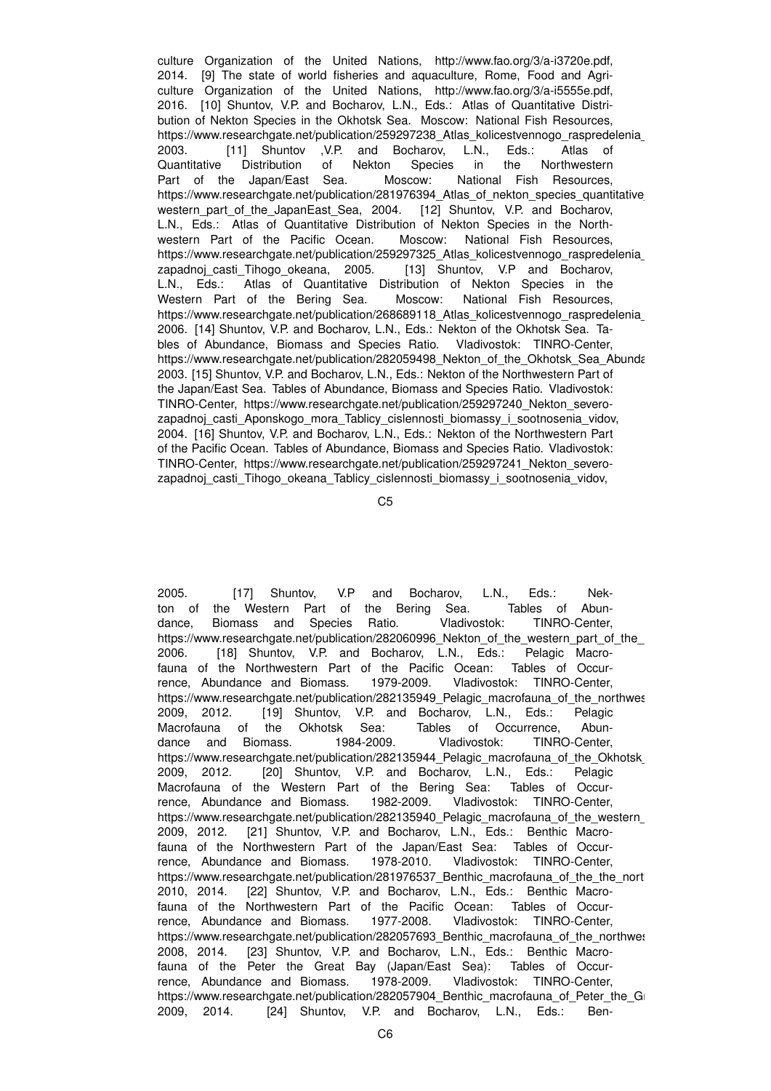culture Organization of the United Nations, http://www.fao.org/3/a-i3720e.pdf, 2014. [9] The state of world fisheries and aquaculture, Rome, Food and Agriculture Organization of the United Nations, http://www.fao.org/3/a-i5555e.pdf, 2016. [10] Shuntov, V.P. and Bocharov, L.N., Eds.: Atlas of Quantitative Distribution of Nekton Species in the Okhotsk Sea. Moscow: National Fish Resources, https://www.researchgate.net/publication/259297238\_Atlas\_kolicestvennogo\_raspredelenia 2003. [11] Shuntov ,V.P. and Bocharov, L.N., Eds.: Atlas of Quantitative Distribution of Nekton Species in the Northwestern Part of the Japan/East Sea. Moscow: National Fish Resources, https://www.researchgate.net/publication/281976394\_Atlas\_of\_nekton\_species\_quantitative western part of the JapanEast Sea, 2004. [12] Shuntov, V.P. and Bocharov, L.N., Eds.: Atlas of Quantitative Distribution of Nekton Species in the Northwestern Part of the Pacific Ocean. Moscow: National Fish Resources, https://www.researchgate.net/publication/259297325\_Atlas\_kolicestvennogo\_raspredelenia zapadnoj\_casti\_Tihogo\_okeana, 2005. [13] Shuntov, V.P and Bocharov, L.N., Eds.: Atlas of Quantitative Distribution of Nekton Species in the Western Part of the Bering Sea. Moscow: National Fish Resources, https://www.researchgate.net/publication/268689118\_Atlas\_kolicestvennogo\_raspredelenia 2006. [14] Shuntov, V.P. and Bocharov, L.N., Eds.: Nekton of the Okhotsk Sea. Tables of Abundance, Biomass and Species Ratio. Vladivostok: TINRO-Center, https://www.researchgate.net/publication/282059498\_Nekton\_of\_the\_Okhotsk\_Sea\_Abundance\_biomass\_ration, 2003. [15] Shuntov, V.P. and Bocharov, L.N., Eds.: Nekton of the Northwestern Part of the Japan/East Sea. Tables of Abundance, Biomass and Species Ratio. Vladivostok: TINRO-Center, https://www.researchgate.net/publication/259297240\_Nekton\_severozapadnoj casti Aponskogo mora Tablicy cislennosti biomassy i sootnosenia vidov, 2004. [16] Shuntov, V.P. and Bocharov, L.N., Eds.: Nekton of the Northwestern Part of the Pacific Ocean. Tables of Abundance, Biomass and Species Ratio. Vladivostok: TINRO-Center, https://www.researchgate.net/publication/259297241\_Nekton\_severozapadnoj casti Tihogo okeana Tablicy cislennosti biomassy i sootnosenia vidov,

C5

2005. [17] Shuntov, V.P and Bocharov, L.N., Eds.: Nekton of the Western Part of the Bering Sea. Tables of Abun-<br>dance, Biomass and Species Ratio. Vladivostok: TINRO-Center, dance, Biomass and Species Ratio. Vladivostok: https://www.researchgate.net/publication/282060996 Nekton of the western part of the 2006. [18] Shuntov, V.P. and Bocharov, L.N., Eds.: Pelagic Macrofauna of the Northwestern Part of the Pacific Ocean: Tables of Occurrence, Abundance and Biomass. 1979-2009. Vladivostok: TINRO-Center, https://www.researchgate.net/publication/282135949\_Pelagic\_macrofauna\_of\_the\_northwesternalce\_andbiomass-2009, 2012. [19] Shuntov, V.P. and Bocharov, L.N., Eds.: Pelagic Macrofauna of the Okhotsk Sea: Tables of Occurrence, Abundance and Biomass. 1984-2009. Vladivostok: TINRO-Center, https://www.researchgate.net/publication/282135944 Pelagic\_macrofauna\_of\_the\_Okhotsk 2009, 2012. [20] Shuntov, V.P. and Bocharov, L.N., Eds.: Pelagic Macrofauna of the Western Part of the Bering Sea: Tables of Occurrence, Abundance and Biomass. 1982-2009. Vladivostok: TINRO-Center, https://www.researchgate.net/publication/282135940\_Pelagic\_macrofauna\_of\_the\_western 2009, 2012. [21] Shuntov, V.P. and Bocharov, L.N., Eds.: Benthic Macrofauna of the Northwestern Part of the Japan/East Sea: Tables of Occurrence, Abundance and Biomass. 1978-2010. Vladivostok: TINRO-Center, https://www.researchgate.net/publication/281976537 Benthic\_macrofauna\_of\_the\_the\_nort 2010, 2014. [22] Shuntov, V.P. and Bocharov, L.N., Eds.: Benthic Macrofauna of the Northwestern Part of the Pacific Ocean: Tables of Occurrence, Abundance and Biomass. 1977-2008. Vladivostok: TINRO-Center, https://www.researchgate.net/publication/282057693\_Benthic\_macrofauna\_of\_the\_northwesternalceanabundance\_andbiomass-2008, 2014. [23] Shuntov, V.P. and Bocharov, L.N., Eds.: Benthic Macrofauna of the Peter the Great Bay (Japan/East Sea): Tables of Occurrence, Abundance and Biomass. 1978-2009. Vladivostok: TINRO-Center, https://www.researchgate.net/publication/282057904 Benthic macrofauna of Peter the Great 2009, 2014. [24] Shuntov, V.P. and Bocharov, L.N., Eds.: Ben